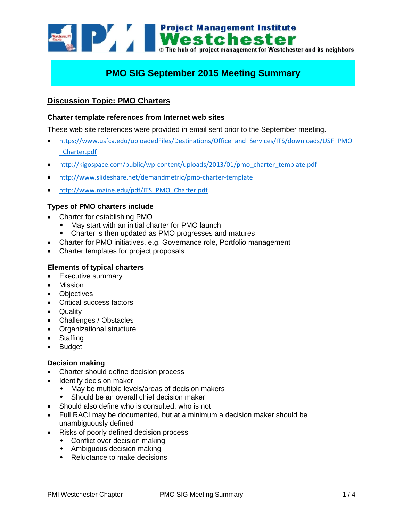

# **PMO SIG September 2015 Meeting Summary**

# **Discussion Topic: PMO Charters**

#### **Charter template references from Internet web sites**

These web site references were provided in email sent prior to the September meeting.

- [https://www.usfca.edu/uploadedFiles/Destinations/Office\\_and\\_Services/ITS/downloads/USF\\_PMO](https://www.usfca.edu/uploadedFiles/Destinations/Office_and_Services/ITS/downloads/USF_PMO_Charter.pdf) [\\_Charter.pdf](https://www.usfca.edu/uploadedFiles/Destinations/Office_and_Services/ITS/downloads/USF_PMO_Charter.pdf)
- [http://kigospace.com/public/wp-content/uploads/2013/01/pmo\\_charter\\_template.pdf](http://kigospace.com/public/wp-content/uploads/2013/01/pmo_charter_template.pdf)
- <http://www.slideshare.net/demandmetric/pmo-charter-template>
- [http://www.maine.edu/pdf/ITS\\_PMO\\_Charter.pdf](http://www.maine.edu/pdf/ITS_PMO_Charter.pdf)

### **Types of PMO charters include**

- Charter for establishing PMO
	- May start with an initial charter for PMO launch
	- Charter is then updated as PMO progresses and matures
- Charter for PMO initiatives, e.g. Governance role, Portfolio management
- Charter templates for project proposals

#### **Elements of typical charters**

- Executive summary
- Mission
- Objectives
- Critical success factors
- Quality
- Challenges / Obstacles
- Organizational structure
- Staffing
- Budget

#### **Decision making**

- Charter should define decision process
- Identify decision maker
	- May be multiple levels/areas of decision makers
	- Should be an overall chief decision maker
- Should also define who is consulted, who is not
- Full RACI may be documented, but at a minimum a decision maker should be unambiguously defined
- Risks of poorly defined decision process
	- Conflict over decision making
	- Ambiguous decision making
	- Reluctance to make decisions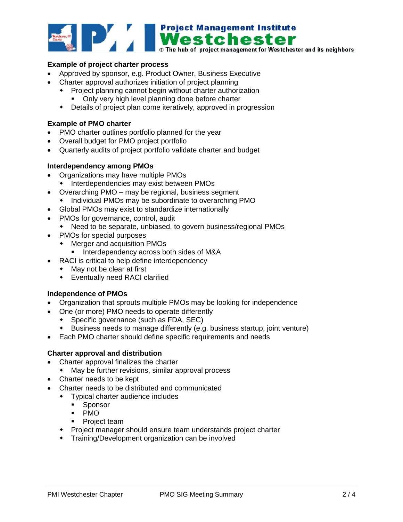

- Approved by sponsor, e.g. Product Owner, Business Executive
- Charter approval authorizes initiation of project planning
	- Project planning cannot begin without charter authorization
		- Only very high level planning done before charter
	- Details of project plan come iteratively, approved in progression

# **Example of PMO charter**

- PMO charter outlines portfolio planned for the year
- Overall budget for PMO project portfolio
- Quarterly audits of project portfolio validate charter and budget

### **Interdependency among PMOs**

- Organizations may have multiple PMOs
	- Interdependencies may exist between PMOs
- Overarching PMO may be regional, business segment
	- Individual PMOs may be subordinate to overarching PMO
- Global PMOs may exist to standardize internationally
- PMOs for governance, control, audit
	- Need to be separate, unbiased, to govern business/regional PMOs
- PMOs for special purposes
	- Merger and acquisition PMOs
		- **Interdependency across both sides of M&A**
- RACI is critical to help define interdependency
	- May not be clear at first
	- Eventually need RACI clarified

### **Independence of PMOs**

- Organization that sprouts multiple PMOs may be looking for independence
- One (or more) PMO needs to operate differently
	- Specific governance (such as FDA, SEC)
	- Business needs to manage differently (e.g. business startup, joint venture)
- Each PMO charter should define specific requirements and needs

### **Charter approval and distribution**

- Charter approval finalizes the charter
	- May be further revisions, similar approval process
- Charter needs to be kept
- Charter needs to be distributed and communicated
	- Typical charter audience includes
		- **Sponsor**
		- · PMO
		- Project team
	- Project manager should ensure team understands project charter
	- Training/Development organization can be involved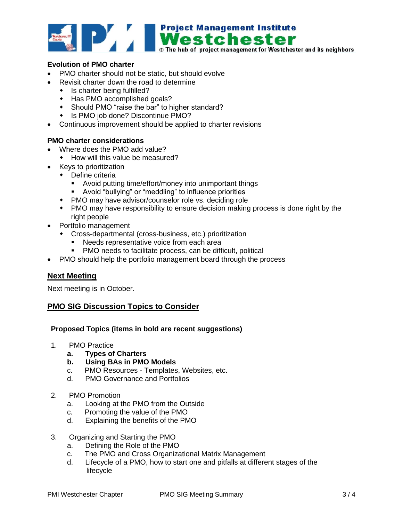

# **Evolution of PMO charter**

- PMO charter should not be static, but should evolve
- Revisit charter down the road to determine
	- Is charter being fulfilled?
	- Has PMO accomplished goals?
	- Should PMO "raise the bar" to higher standard?
	- Is PMO job done? Discontinue PMO?
- Continuous improvement should be applied to charter revisions

### **PMO charter considerations**

- Where does the PMO add value?
	- How will this value be measured?
- Keys to prioritization
	- ◆ Define criteria
		- Avoid putting time/effort/money into unimportant things
		- Avoid "bullying" or "meddling" to influence priorities
	- PMO may have advisor/counselor role vs. deciding role
	- PMO may have responsibility to ensure decision making process is done right by the right people
- Portfolio management
	- Cross-departmental (cross-business, etc.) prioritization
		- **Needs representative voice from each area**
		- PMO needs to facilitate process, can be difficult, political
- PMO should help the portfolio management board through the process

# **Next Meeting**

Next meeting is in October.

# **PMO SIG Discussion Topics to Consider**

### **Proposed Topics (items in bold are recent suggestions)**

- 1. PMO Practice
	- **a. Types of Charters**
	- **b. Using BAs in PMO Models**
	- c. PMO Resources Templates, Websites, etc.
	- d. PMO Governance and Portfolios
- 2. PMO Promotion
	- a. Looking at the PMO from the Outside
	- c. Promoting the value of the PMO
	- d. Explaining the benefits of the PMO
- 3. Organizing and Starting the PMO
	- a. Defining the Role of the PMO
	- c. The PMO and Cross Organizational Matrix Management
	- d. Lifecycle of a PMO, how to start one and pitfalls at different stages of the lifecycle